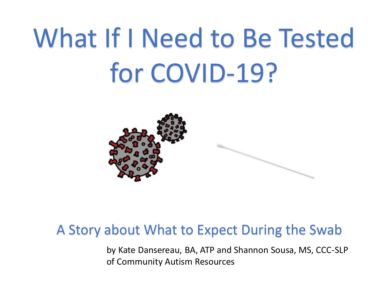# What If I Need to Be Tested for COVID-19?



#### A Story about What to Expect During the Swab

by Kate Dansereau, BA, ATP and Shannon Sousa, MS, CCC-SLP of Community Autism Resources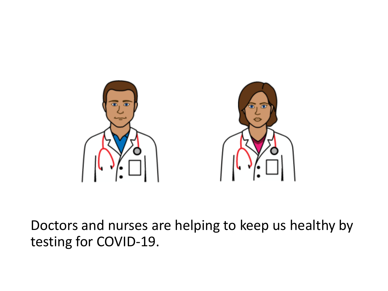

Doctors and nurses are helping to keep us healthy by testing for COVID-19.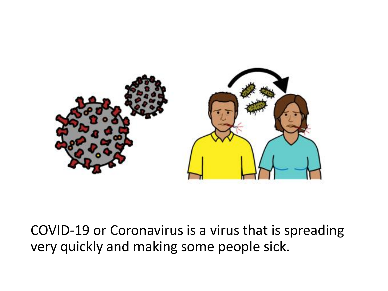

COVID-19 or Coronavirus is a virus that is spreading very quickly and making some people sick.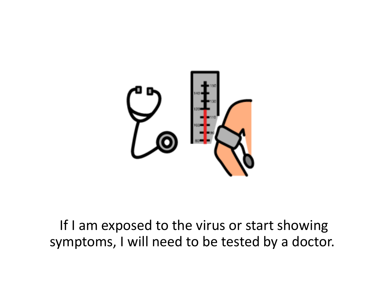

## If I am exposed to the virus or start showing symptoms, I will need to be tested by a doctor.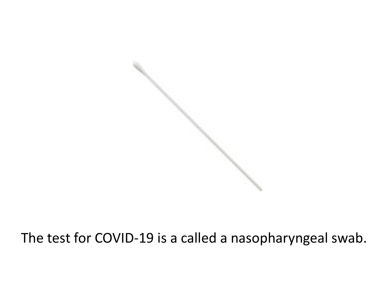

# The test for COVID-19 is a called a nasopharyngeal swab.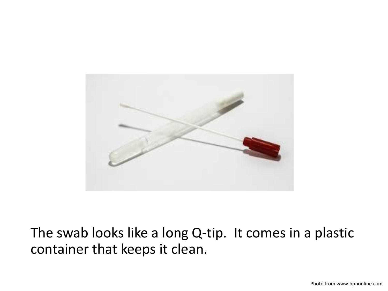

The swab looks like a long Q-tip. It comes in a plastic container that keeps it clean.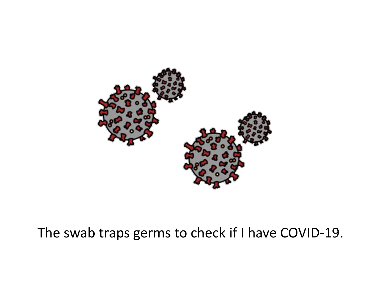

### The swab traps germs to check if I have COVID-19.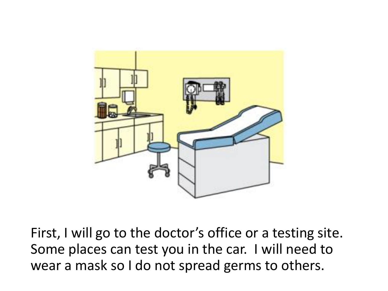

First, I will go to the doctor's office or a testing site. Some places can test you in the car. I will need to wear a mask so I do not spread germs to others.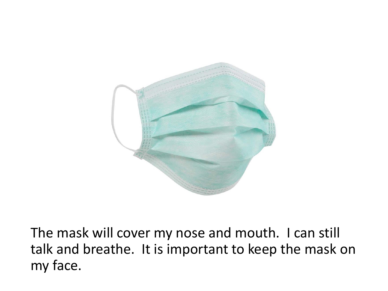

The mask will cover my nose and mouth. I can still talk and breathe. It is important to keep the mask on my face.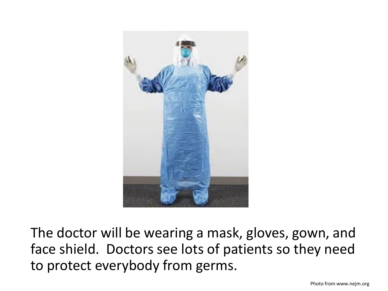

The doctor will be wearing a mask, gloves, gown, and face shield. Doctors see lots of patients so they need to protect everybody from germs.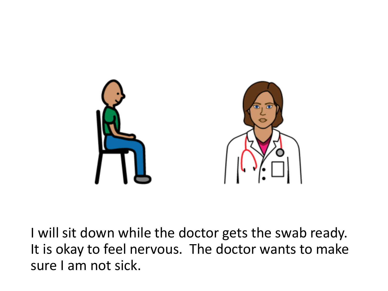

I will sit down while the doctor gets the swab ready. It is okay to feel nervous. The doctor wants to make sure I am not sick.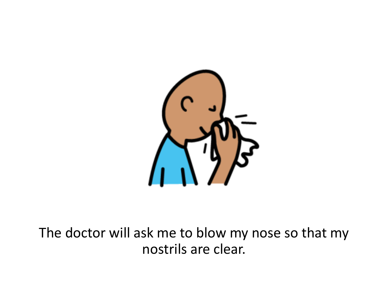

### The doctor will ask me to blow my nose so that my nostrils are clear.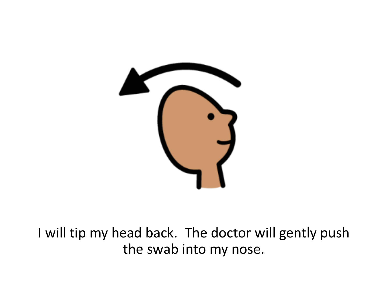

I will tip my head back. The doctor will gently push the swab into my nose.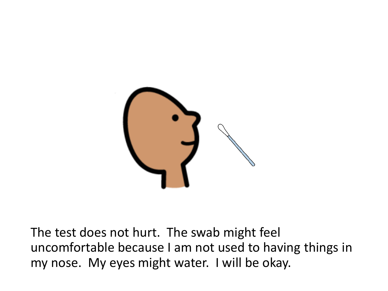

The test does not hurt. The swab might feel uncomfortable because I am not used to having things in my nose. My eyes might water. I will be okay.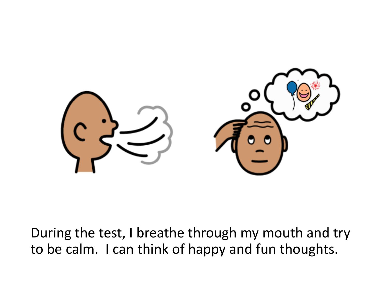

During the test, I breathe through my mouth and try to be calm. I can think of happy and fun thoughts.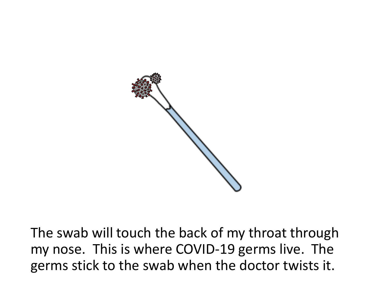

The swab will touch the back of my throat through my nose. This is where COVID-19 germs live. The germs stick to the swab when the doctor twists it.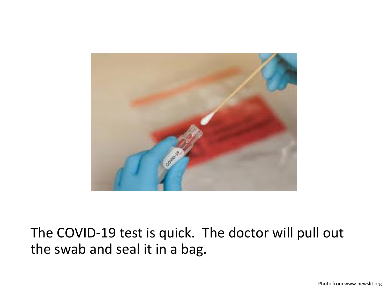

The COVID-19 test is quick. The doctor will pull out the swab and seal it in a bag.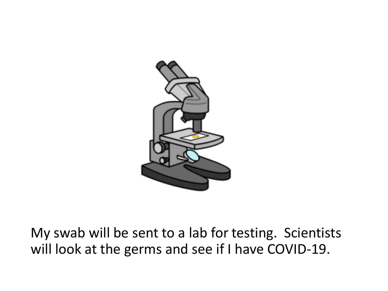

My swab will be sent to a lab for testing. Scientists will look at the germs and see if I have COVID-19.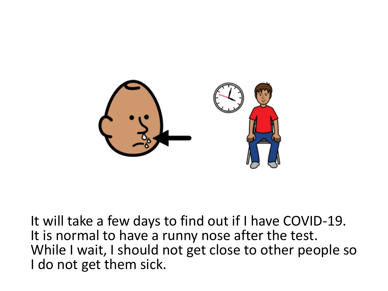

It will take a few days to find out if I have COVID-19. It is normal to have a runny nose after the test. While I wait, I should not get close to other people so I do not get them sick.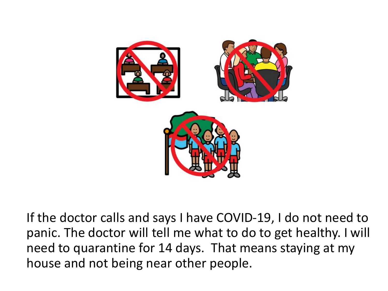

If the doctor calls and says I have COVID-19, I do not need to panic. The doctor will tell me what to do to get healthy. I will need to quarantine for 14 days. That means staying at my house and not being near other people.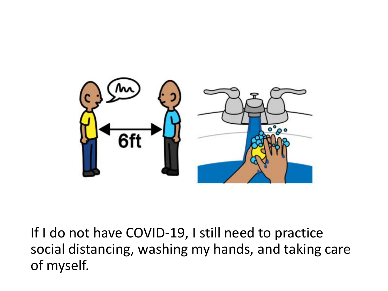

If I do not have COVID-19, I still need to practice social distancing, washing my hands, and taking care of myself.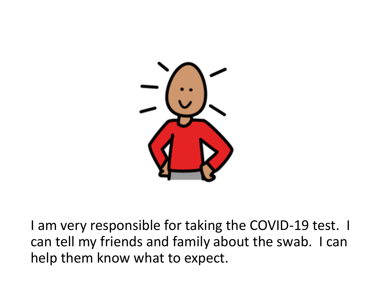

I am very responsible for taking the COVID-19 test. I can tell my friends and family about the swab. I can help them know what to expect.